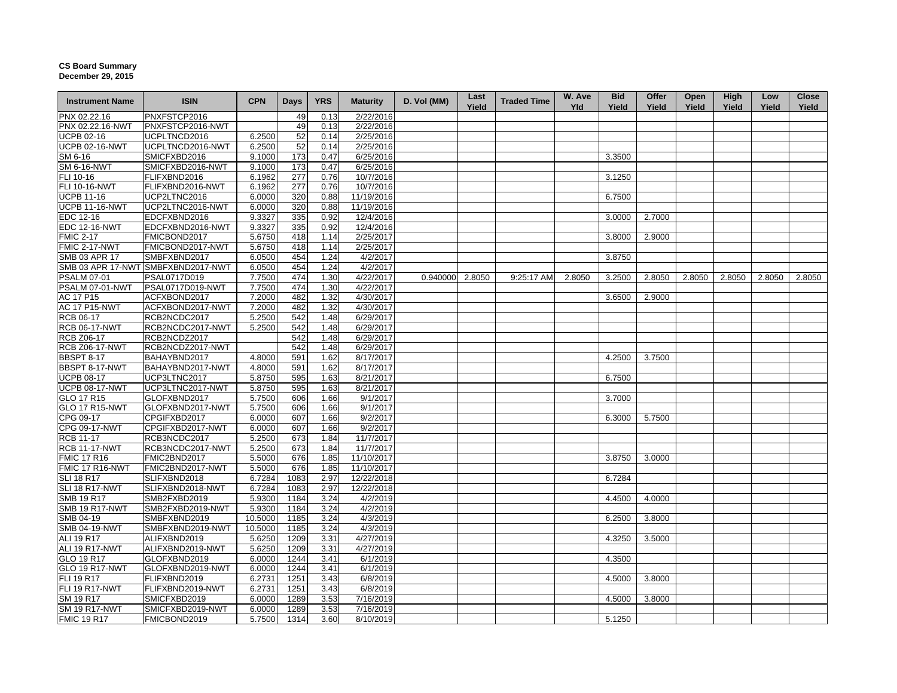## **CS Board Summary December 29, 2015**

| PNXFSTCP2016<br>2/22/2016<br>49<br>0.13<br>PNXFSTCP2016-NWT<br>49<br>2/22/2016<br>0.13<br>52<br>2/25/2016<br>UCPLTNCD2016<br>6.2500<br>0.14<br><b>UCPB 02-16-NWT</b><br>UCPLTNCD2016-NWT<br>52<br>2/25/2016<br>6.2500<br>0.14<br>SM 6-16<br>SMICFXBD2016<br>9.1000<br>173<br>6/25/2016<br>3.3500<br>0.47<br><b>SM 6-16-NWT</b><br>SMICFXBD2016-NWT<br>9.1000<br>173<br>6/25/2016<br>0.47<br>FLI 10-16<br>10/7/2016<br>FLIFXBND2016<br>6.1962<br>277<br>0.76<br>3.1250<br>FLI 10-16-NWT<br>FLIFXBND2016-NWT<br>6.1962<br>277<br>10/7/2016<br>0.76<br><b>UCPB 11-16</b><br>UCP2LTNC2016<br>320<br>11/19/2016<br>6.0000<br>0.88<br>6.7500<br><b>UCPB 11-16-NWT</b><br>UCP2LTNC2016-NWT<br>6.0000<br>320<br>0.88<br>11/19/2016<br>9.3327<br>335<br>12/4/2016<br>EDC 12-16<br>EDCFXBND2016<br>0.92<br>3.0000<br>2.7000<br>12/4/2016<br><b>EDC 12-16-NWT</b><br>EDCFXBND2016-NWT<br>9.3327<br>335<br>0.92<br><b>FMIC 2-17</b><br>FMICBOND2017<br>2/25/2017<br>5.6750<br>418<br>1.14<br>3.8000<br>2.9000<br>FMIC 2-17-NWT<br>5.6750<br>418<br>2/25/2017<br>FMICBOND2017-NWT<br>1.14<br><b>SMB 03 APR 17</b><br>SMBFXBND2017<br>6.0500<br>454<br>1.24<br>4/2/2017<br>3.8750<br>SMB 03 APR 17-NWT SMBFXBND2017-NWT<br>4/2/2017<br>6.0500<br>454<br>1.24<br><b>PSALM 07-01</b><br>PSAL0717D019<br>7.7500<br>474<br>4/22/2017<br>0.940000<br>1.30<br>2.8050<br>9:25:17 AM<br>2.8050<br>3.2500<br>2.8050<br>2.8050<br>2.8050<br>2.8050<br>2.8050<br>PSALM 07-01-NWT<br><b>PSAL0717D019-NWT</b><br>7.7500<br>474<br>4/22/2017<br>1.30<br>AC 17 P15<br>ACFXBOND2017<br>7.2000<br>482<br>1.32<br>4/30/2017<br>3.6500<br>2.9000<br><b>AC 17 P15-NWT</b><br>ACFXBOND2017-NWT<br>7.2000<br>482<br>1.32<br>4/30/2017<br>RCB 06-17<br>RCB2NCDC2017<br>5.2500<br>542<br>6/29/2017<br>1.48<br><b>RCB 06-17-NWT</b><br>RCB2NCDC2017-NWT<br>5.2500<br>542<br>6/29/2017<br>1.48<br><b>RCB Z06-17</b><br>RCB2NCDZ2017<br>542<br>6/29/2017<br>1.48<br><b>RCB Z06-17-NWT</b><br>542<br>6/29/2017<br>RCB2NCDZ2017-NWT<br>1.48<br><b>BBSPT 8-17</b><br>BAHAYBND2017<br>4.8000<br>591<br>1.62<br>8/17/2017<br>4.2500<br>3.7500<br>BBSPT 8-17-NWT<br>BAHAYBND2017-NWT<br>4.8000<br>591<br>1.62<br>8/17/2017<br><b>UCPB 08-17</b><br>UCP3LTNC2017<br>5.8750<br>595<br>8/21/2017<br>6.7500<br>1.63<br><b>UCPB 08-17-NWT</b><br>UCP3LTNC2017-NWT<br>5.8750<br>595<br>1.63<br>8/21/2017<br>GLOFXBND2017<br>9/1/2017<br>GLO 17 R15<br>5.7500<br>606<br>3.7000<br>1.66<br><b>GLO 17 R15-NWT</b><br>GLOFXBND2017-NWT<br>5.7500<br>606<br>1.66<br>9/1/2017<br>CPG 09-17<br>CPGIFXBD2017<br>6.0000<br>607<br>1.66<br>9/2/2017<br>6.3000<br>5.7500<br>CPG 09-17-NWT<br>607<br>9/2/2017<br>CPGIFXBD2017-NWT<br>6.0000<br>1.66<br><b>RCB 11-17</b><br>5.2500<br>11/7/2017<br>RCB3NCDC2017<br>673<br>1.84<br>RCB3NCDC2017-NWT<br>11/7/2017<br>5.2500<br>673<br>1.84<br><b>FMIC 17 R16</b><br>FMIC2BND2017<br>5.5000<br>11/10/2017<br>676<br>1.85<br>3.8750<br>3.0000<br>FMIC 17 R16-NWT<br>FMIC2BND2017-NWT<br>5.5000<br>11/10/2017<br>676<br>1.85<br>6.7284<br>12/22/2018<br>SLIFXBND2018<br>1083<br>2.97<br>6.7284<br>SLIFXBND2018-NWT<br>6.7284<br>2.97<br>12/22/2018<br>1083<br>SMB2FXBD2019<br>5.9300<br>4/2/2019<br>1184<br>3.24<br>4.4500<br>4.0000<br>SMB2FXBD2019-NWT<br>3.24<br>4/2/2019<br>5.9300<br>1184<br>4/3/2019<br>10.5000<br>3.24<br>SMBFXBND2019<br>1185<br>6.2500<br>3.8000<br>SMBFXBND2019-NWT<br>10.5000<br>3.24<br>4/3/2019<br>1185<br>ALIFXBND2019<br>5.6250<br>1209<br>3.31<br>4/27/2019<br>4.3250<br>3.5000<br>ALIFXBND2019-NWT<br>5.6250<br>1209<br>3.31<br>4/27/2019<br>GLOFXBND2019<br>6/1/2019<br>6.0000<br>1244<br>3.41<br>4.3500<br>GLOFXBND2019-NWT<br>6.0000<br>1244<br>3.41<br>6/1/2019<br><b>FLI 19 R17</b><br>FLIFXBND2019<br>6.2731<br>1251<br>3.43<br>6/8/2019<br>4.5000<br>3.8000<br>FLI 19 R17-NWT<br>6.2731<br>6/8/2019<br>FLIFXBND2019-NWT<br>1251<br>3.43<br>SM 19 R17<br>SMICFXBD2019<br>6.0000<br>1289<br>3.53<br>7/16/2019<br>4.5000<br>3.8000<br><b>SM 19 R17-NWT</b><br>SMICFXBD2019-NWT<br>6.0000<br>1289<br>3.53<br>7/16/2019<br>5.7500<br>FMICBOND2019<br>1314<br>3.60<br>8/10/2019<br>5.1250 | <b>Instrument Name</b> | <b>ISIN</b> | <b>CPN</b> | <b>Days</b> | <b>YRS</b> | <b>Maturity</b> | D. Vol (MM) | Last<br>Yield | <b>Traded Time</b> | W. Ave<br><b>Yld</b> | <b>Bid</b><br>Yield | Offer<br>Yield | Open<br>Yield | High<br>Yield | Low<br>Yield | Close<br>Yield |
|------------------------------------------------------------------------------------------------------------------------------------------------------------------------------------------------------------------------------------------------------------------------------------------------------------------------------------------------------------------------------------------------------------------------------------------------------------------------------------------------------------------------------------------------------------------------------------------------------------------------------------------------------------------------------------------------------------------------------------------------------------------------------------------------------------------------------------------------------------------------------------------------------------------------------------------------------------------------------------------------------------------------------------------------------------------------------------------------------------------------------------------------------------------------------------------------------------------------------------------------------------------------------------------------------------------------------------------------------------------------------------------------------------------------------------------------------------------------------------------------------------------------------------------------------------------------------------------------------------------------------------------------------------------------------------------------------------------------------------------------------------------------------------------------------------------------------------------------------------------------------------------------------------------------------------------------------------------------------------------------------------------------------------------------------------------------------------------------------------------------------------------------------------------------------------------------------------------------------------------------------------------------------------------------------------------------------------------------------------------------------------------------------------------------------------------------------------------------------------------------------------------------------------------------------------------------------------------------------------------------------------------------------------------------------------------------------------------------------------------------------------------------------------------------------------------------------------------------------------------------------------------------------------------------------------------------------------------------------------------------------------------------------------------------------------------------------------------------------------------------------------------------------------------------------------------------------------------------------------------------------------------------------------------------------------------------------------------------------------------------------------------------------------------------------------------------------------------------------------------------------------------------------------------------------------------------------------------------------------------------------------------------------------------------------------------------------------------------------------------------------------------------------------------------------------------------------------------------------------------------------------------------------------------------------------------------------------------------------------------------------------------------------------------------------------------------------------------------------|------------------------|-------------|------------|-------------|------------|-----------------|-------------|---------------|--------------------|----------------------|---------------------|----------------|---------------|---------------|--------------|----------------|
|                                                                                                                                                                                                                                                                                                                                                                                                                                                                                                                                                                                                                                                                                                                                                                                                                                                                                                                                                                                                                                                                                                                                                                                                                                                                                                                                                                                                                                                                                                                                                                                                                                                                                                                                                                                                                                                                                                                                                                                                                                                                                                                                                                                                                                                                                                                                                                                                                                                                                                                                                                                                                                                                                                                                                                                                                                                                                                                                                                                                                                                                                                                                                                                                                                                                                                                                                                                                                                                                                                                                                                                                                                                                                                                                                                                                                                                                                                                                                                                                                                                                                                      | PNX 02.22.16           |             |            |             |            |                 |             |               |                    |                      |                     |                |               |               |              |                |
|                                                                                                                                                                                                                                                                                                                                                                                                                                                                                                                                                                                                                                                                                                                                                                                                                                                                                                                                                                                                                                                                                                                                                                                                                                                                                                                                                                                                                                                                                                                                                                                                                                                                                                                                                                                                                                                                                                                                                                                                                                                                                                                                                                                                                                                                                                                                                                                                                                                                                                                                                                                                                                                                                                                                                                                                                                                                                                                                                                                                                                                                                                                                                                                                                                                                                                                                                                                                                                                                                                                                                                                                                                                                                                                                                                                                                                                                                                                                                                                                                                                                                                      | PNX 02.22.16-NWT       |             |            |             |            |                 |             |               |                    |                      |                     |                |               |               |              |                |
|                                                                                                                                                                                                                                                                                                                                                                                                                                                                                                                                                                                                                                                                                                                                                                                                                                                                                                                                                                                                                                                                                                                                                                                                                                                                                                                                                                                                                                                                                                                                                                                                                                                                                                                                                                                                                                                                                                                                                                                                                                                                                                                                                                                                                                                                                                                                                                                                                                                                                                                                                                                                                                                                                                                                                                                                                                                                                                                                                                                                                                                                                                                                                                                                                                                                                                                                                                                                                                                                                                                                                                                                                                                                                                                                                                                                                                                                                                                                                                                                                                                                                                      | <b>UCPB 02-16</b>      |             |            |             |            |                 |             |               |                    |                      |                     |                |               |               |              |                |
|                                                                                                                                                                                                                                                                                                                                                                                                                                                                                                                                                                                                                                                                                                                                                                                                                                                                                                                                                                                                                                                                                                                                                                                                                                                                                                                                                                                                                                                                                                                                                                                                                                                                                                                                                                                                                                                                                                                                                                                                                                                                                                                                                                                                                                                                                                                                                                                                                                                                                                                                                                                                                                                                                                                                                                                                                                                                                                                                                                                                                                                                                                                                                                                                                                                                                                                                                                                                                                                                                                                                                                                                                                                                                                                                                                                                                                                                                                                                                                                                                                                                                                      |                        |             |            |             |            |                 |             |               |                    |                      |                     |                |               |               |              |                |
|                                                                                                                                                                                                                                                                                                                                                                                                                                                                                                                                                                                                                                                                                                                                                                                                                                                                                                                                                                                                                                                                                                                                                                                                                                                                                                                                                                                                                                                                                                                                                                                                                                                                                                                                                                                                                                                                                                                                                                                                                                                                                                                                                                                                                                                                                                                                                                                                                                                                                                                                                                                                                                                                                                                                                                                                                                                                                                                                                                                                                                                                                                                                                                                                                                                                                                                                                                                                                                                                                                                                                                                                                                                                                                                                                                                                                                                                                                                                                                                                                                                                                                      |                        |             |            |             |            |                 |             |               |                    |                      |                     |                |               |               |              |                |
|                                                                                                                                                                                                                                                                                                                                                                                                                                                                                                                                                                                                                                                                                                                                                                                                                                                                                                                                                                                                                                                                                                                                                                                                                                                                                                                                                                                                                                                                                                                                                                                                                                                                                                                                                                                                                                                                                                                                                                                                                                                                                                                                                                                                                                                                                                                                                                                                                                                                                                                                                                                                                                                                                                                                                                                                                                                                                                                                                                                                                                                                                                                                                                                                                                                                                                                                                                                                                                                                                                                                                                                                                                                                                                                                                                                                                                                                                                                                                                                                                                                                                                      |                        |             |            |             |            |                 |             |               |                    |                      |                     |                |               |               |              |                |
|                                                                                                                                                                                                                                                                                                                                                                                                                                                                                                                                                                                                                                                                                                                                                                                                                                                                                                                                                                                                                                                                                                                                                                                                                                                                                                                                                                                                                                                                                                                                                                                                                                                                                                                                                                                                                                                                                                                                                                                                                                                                                                                                                                                                                                                                                                                                                                                                                                                                                                                                                                                                                                                                                                                                                                                                                                                                                                                                                                                                                                                                                                                                                                                                                                                                                                                                                                                                                                                                                                                                                                                                                                                                                                                                                                                                                                                                                                                                                                                                                                                                                                      |                        |             |            |             |            |                 |             |               |                    |                      |                     |                |               |               |              |                |
|                                                                                                                                                                                                                                                                                                                                                                                                                                                                                                                                                                                                                                                                                                                                                                                                                                                                                                                                                                                                                                                                                                                                                                                                                                                                                                                                                                                                                                                                                                                                                                                                                                                                                                                                                                                                                                                                                                                                                                                                                                                                                                                                                                                                                                                                                                                                                                                                                                                                                                                                                                                                                                                                                                                                                                                                                                                                                                                                                                                                                                                                                                                                                                                                                                                                                                                                                                                                                                                                                                                                                                                                                                                                                                                                                                                                                                                                                                                                                                                                                                                                                                      |                        |             |            |             |            |                 |             |               |                    |                      |                     |                |               |               |              |                |
|                                                                                                                                                                                                                                                                                                                                                                                                                                                                                                                                                                                                                                                                                                                                                                                                                                                                                                                                                                                                                                                                                                                                                                                                                                                                                                                                                                                                                                                                                                                                                                                                                                                                                                                                                                                                                                                                                                                                                                                                                                                                                                                                                                                                                                                                                                                                                                                                                                                                                                                                                                                                                                                                                                                                                                                                                                                                                                                                                                                                                                                                                                                                                                                                                                                                                                                                                                                                                                                                                                                                                                                                                                                                                                                                                                                                                                                                                                                                                                                                                                                                                                      |                        |             |            |             |            |                 |             |               |                    |                      |                     |                |               |               |              |                |
|                                                                                                                                                                                                                                                                                                                                                                                                                                                                                                                                                                                                                                                                                                                                                                                                                                                                                                                                                                                                                                                                                                                                                                                                                                                                                                                                                                                                                                                                                                                                                                                                                                                                                                                                                                                                                                                                                                                                                                                                                                                                                                                                                                                                                                                                                                                                                                                                                                                                                                                                                                                                                                                                                                                                                                                                                                                                                                                                                                                                                                                                                                                                                                                                                                                                                                                                                                                                                                                                                                                                                                                                                                                                                                                                                                                                                                                                                                                                                                                                                                                                                                      |                        |             |            |             |            |                 |             |               |                    |                      |                     |                |               |               |              |                |
|                                                                                                                                                                                                                                                                                                                                                                                                                                                                                                                                                                                                                                                                                                                                                                                                                                                                                                                                                                                                                                                                                                                                                                                                                                                                                                                                                                                                                                                                                                                                                                                                                                                                                                                                                                                                                                                                                                                                                                                                                                                                                                                                                                                                                                                                                                                                                                                                                                                                                                                                                                                                                                                                                                                                                                                                                                                                                                                                                                                                                                                                                                                                                                                                                                                                                                                                                                                                                                                                                                                                                                                                                                                                                                                                                                                                                                                                                                                                                                                                                                                                                                      |                        |             |            |             |            |                 |             |               |                    |                      |                     |                |               |               |              |                |
|                                                                                                                                                                                                                                                                                                                                                                                                                                                                                                                                                                                                                                                                                                                                                                                                                                                                                                                                                                                                                                                                                                                                                                                                                                                                                                                                                                                                                                                                                                                                                                                                                                                                                                                                                                                                                                                                                                                                                                                                                                                                                                                                                                                                                                                                                                                                                                                                                                                                                                                                                                                                                                                                                                                                                                                                                                                                                                                                                                                                                                                                                                                                                                                                                                                                                                                                                                                                                                                                                                                                                                                                                                                                                                                                                                                                                                                                                                                                                                                                                                                                                                      |                        |             |            |             |            |                 |             |               |                    |                      |                     |                |               |               |              |                |
|                                                                                                                                                                                                                                                                                                                                                                                                                                                                                                                                                                                                                                                                                                                                                                                                                                                                                                                                                                                                                                                                                                                                                                                                                                                                                                                                                                                                                                                                                                                                                                                                                                                                                                                                                                                                                                                                                                                                                                                                                                                                                                                                                                                                                                                                                                                                                                                                                                                                                                                                                                                                                                                                                                                                                                                                                                                                                                                                                                                                                                                                                                                                                                                                                                                                                                                                                                                                                                                                                                                                                                                                                                                                                                                                                                                                                                                                                                                                                                                                                                                                                                      |                        |             |            |             |            |                 |             |               |                    |                      |                     |                |               |               |              |                |
|                                                                                                                                                                                                                                                                                                                                                                                                                                                                                                                                                                                                                                                                                                                                                                                                                                                                                                                                                                                                                                                                                                                                                                                                                                                                                                                                                                                                                                                                                                                                                                                                                                                                                                                                                                                                                                                                                                                                                                                                                                                                                                                                                                                                                                                                                                                                                                                                                                                                                                                                                                                                                                                                                                                                                                                                                                                                                                                                                                                                                                                                                                                                                                                                                                                                                                                                                                                                                                                                                                                                                                                                                                                                                                                                                                                                                                                                                                                                                                                                                                                                                                      |                        |             |            |             |            |                 |             |               |                    |                      |                     |                |               |               |              |                |
|                                                                                                                                                                                                                                                                                                                                                                                                                                                                                                                                                                                                                                                                                                                                                                                                                                                                                                                                                                                                                                                                                                                                                                                                                                                                                                                                                                                                                                                                                                                                                                                                                                                                                                                                                                                                                                                                                                                                                                                                                                                                                                                                                                                                                                                                                                                                                                                                                                                                                                                                                                                                                                                                                                                                                                                                                                                                                                                                                                                                                                                                                                                                                                                                                                                                                                                                                                                                                                                                                                                                                                                                                                                                                                                                                                                                                                                                                                                                                                                                                                                                                                      |                        |             |            |             |            |                 |             |               |                    |                      |                     |                |               |               |              |                |
|                                                                                                                                                                                                                                                                                                                                                                                                                                                                                                                                                                                                                                                                                                                                                                                                                                                                                                                                                                                                                                                                                                                                                                                                                                                                                                                                                                                                                                                                                                                                                                                                                                                                                                                                                                                                                                                                                                                                                                                                                                                                                                                                                                                                                                                                                                                                                                                                                                                                                                                                                                                                                                                                                                                                                                                                                                                                                                                                                                                                                                                                                                                                                                                                                                                                                                                                                                                                                                                                                                                                                                                                                                                                                                                                                                                                                                                                                                                                                                                                                                                                                                      |                        |             |            |             |            |                 |             |               |                    |                      |                     |                |               |               |              |                |
|                                                                                                                                                                                                                                                                                                                                                                                                                                                                                                                                                                                                                                                                                                                                                                                                                                                                                                                                                                                                                                                                                                                                                                                                                                                                                                                                                                                                                                                                                                                                                                                                                                                                                                                                                                                                                                                                                                                                                                                                                                                                                                                                                                                                                                                                                                                                                                                                                                                                                                                                                                                                                                                                                                                                                                                                                                                                                                                                                                                                                                                                                                                                                                                                                                                                                                                                                                                                                                                                                                                                                                                                                                                                                                                                                                                                                                                                                                                                                                                                                                                                                                      |                        |             |            |             |            |                 |             |               |                    |                      |                     |                |               |               |              |                |
|                                                                                                                                                                                                                                                                                                                                                                                                                                                                                                                                                                                                                                                                                                                                                                                                                                                                                                                                                                                                                                                                                                                                                                                                                                                                                                                                                                                                                                                                                                                                                                                                                                                                                                                                                                                                                                                                                                                                                                                                                                                                                                                                                                                                                                                                                                                                                                                                                                                                                                                                                                                                                                                                                                                                                                                                                                                                                                                                                                                                                                                                                                                                                                                                                                                                                                                                                                                                                                                                                                                                                                                                                                                                                                                                                                                                                                                                                                                                                                                                                                                                                                      |                        |             |            |             |            |                 |             |               |                    |                      |                     |                |               |               |              |                |
|                                                                                                                                                                                                                                                                                                                                                                                                                                                                                                                                                                                                                                                                                                                                                                                                                                                                                                                                                                                                                                                                                                                                                                                                                                                                                                                                                                                                                                                                                                                                                                                                                                                                                                                                                                                                                                                                                                                                                                                                                                                                                                                                                                                                                                                                                                                                                                                                                                                                                                                                                                                                                                                                                                                                                                                                                                                                                                                                                                                                                                                                                                                                                                                                                                                                                                                                                                                                                                                                                                                                                                                                                                                                                                                                                                                                                                                                                                                                                                                                                                                                                                      |                        |             |            |             |            |                 |             |               |                    |                      |                     |                |               |               |              |                |
|                                                                                                                                                                                                                                                                                                                                                                                                                                                                                                                                                                                                                                                                                                                                                                                                                                                                                                                                                                                                                                                                                                                                                                                                                                                                                                                                                                                                                                                                                                                                                                                                                                                                                                                                                                                                                                                                                                                                                                                                                                                                                                                                                                                                                                                                                                                                                                                                                                                                                                                                                                                                                                                                                                                                                                                                                                                                                                                                                                                                                                                                                                                                                                                                                                                                                                                                                                                                                                                                                                                                                                                                                                                                                                                                                                                                                                                                                                                                                                                                                                                                                                      |                        |             |            |             |            |                 |             |               |                    |                      |                     |                |               |               |              |                |
|                                                                                                                                                                                                                                                                                                                                                                                                                                                                                                                                                                                                                                                                                                                                                                                                                                                                                                                                                                                                                                                                                                                                                                                                                                                                                                                                                                                                                                                                                                                                                                                                                                                                                                                                                                                                                                                                                                                                                                                                                                                                                                                                                                                                                                                                                                                                                                                                                                                                                                                                                                                                                                                                                                                                                                                                                                                                                                                                                                                                                                                                                                                                                                                                                                                                                                                                                                                                                                                                                                                                                                                                                                                                                                                                                                                                                                                                                                                                                                                                                                                                                                      |                        |             |            |             |            |                 |             |               |                    |                      |                     |                |               |               |              |                |
|                                                                                                                                                                                                                                                                                                                                                                                                                                                                                                                                                                                                                                                                                                                                                                                                                                                                                                                                                                                                                                                                                                                                                                                                                                                                                                                                                                                                                                                                                                                                                                                                                                                                                                                                                                                                                                                                                                                                                                                                                                                                                                                                                                                                                                                                                                                                                                                                                                                                                                                                                                                                                                                                                                                                                                                                                                                                                                                                                                                                                                                                                                                                                                                                                                                                                                                                                                                                                                                                                                                                                                                                                                                                                                                                                                                                                                                                                                                                                                                                                                                                                                      |                        |             |            |             |            |                 |             |               |                    |                      |                     |                |               |               |              |                |
|                                                                                                                                                                                                                                                                                                                                                                                                                                                                                                                                                                                                                                                                                                                                                                                                                                                                                                                                                                                                                                                                                                                                                                                                                                                                                                                                                                                                                                                                                                                                                                                                                                                                                                                                                                                                                                                                                                                                                                                                                                                                                                                                                                                                                                                                                                                                                                                                                                                                                                                                                                                                                                                                                                                                                                                                                                                                                                                                                                                                                                                                                                                                                                                                                                                                                                                                                                                                                                                                                                                                                                                                                                                                                                                                                                                                                                                                                                                                                                                                                                                                                                      |                        |             |            |             |            |                 |             |               |                    |                      |                     |                |               |               |              |                |
|                                                                                                                                                                                                                                                                                                                                                                                                                                                                                                                                                                                                                                                                                                                                                                                                                                                                                                                                                                                                                                                                                                                                                                                                                                                                                                                                                                                                                                                                                                                                                                                                                                                                                                                                                                                                                                                                                                                                                                                                                                                                                                                                                                                                                                                                                                                                                                                                                                                                                                                                                                                                                                                                                                                                                                                                                                                                                                                                                                                                                                                                                                                                                                                                                                                                                                                                                                                                                                                                                                                                                                                                                                                                                                                                                                                                                                                                                                                                                                                                                                                                                                      |                        |             |            |             |            |                 |             |               |                    |                      |                     |                |               |               |              |                |
|                                                                                                                                                                                                                                                                                                                                                                                                                                                                                                                                                                                                                                                                                                                                                                                                                                                                                                                                                                                                                                                                                                                                                                                                                                                                                                                                                                                                                                                                                                                                                                                                                                                                                                                                                                                                                                                                                                                                                                                                                                                                                                                                                                                                                                                                                                                                                                                                                                                                                                                                                                                                                                                                                                                                                                                                                                                                                                                                                                                                                                                                                                                                                                                                                                                                                                                                                                                                                                                                                                                                                                                                                                                                                                                                                                                                                                                                                                                                                                                                                                                                                                      |                        |             |            |             |            |                 |             |               |                    |                      |                     |                |               |               |              |                |
|                                                                                                                                                                                                                                                                                                                                                                                                                                                                                                                                                                                                                                                                                                                                                                                                                                                                                                                                                                                                                                                                                                                                                                                                                                                                                                                                                                                                                                                                                                                                                                                                                                                                                                                                                                                                                                                                                                                                                                                                                                                                                                                                                                                                                                                                                                                                                                                                                                                                                                                                                                                                                                                                                                                                                                                                                                                                                                                                                                                                                                                                                                                                                                                                                                                                                                                                                                                                                                                                                                                                                                                                                                                                                                                                                                                                                                                                                                                                                                                                                                                                                                      |                        |             |            |             |            |                 |             |               |                    |                      |                     |                |               |               |              |                |
|                                                                                                                                                                                                                                                                                                                                                                                                                                                                                                                                                                                                                                                                                                                                                                                                                                                                                                                                                                                                                                                                                                                                                                                                                                                                                                                                                                                                                                                                                                                                                                                                                                                                                                                                                                                                                                                                                                                                                                                                                                                                                                                                                                                                                                                                                                                                                                                                                                                                                                                                                                                                                                                                                                                                                                                                                                                                                                                                                                                                                                                                                                                                                                                                                                                                                                                                                                                                                                                                                                                                                                                                                                                                                                                                                                                                                                                                                                                                                                                                                                                                                                      |                        |             |            |             |            |                 |             |               |                    |                      |                     |                |               |               |              |                |
|                                                                                                                                                                                                                                                                                                                                                                                                                                                                                                                                                                                                                                                                                                                                                                                                                                                                                                                                                                                                                                                                                                                                                                                                                                                                                                                                                                                                                                                                                                                                                                                                                                                                                                                                                                                                                                                                                                                                                                                                                                                                                                                                                                                                                                                                                                                                                                                                                                                                                                                                                                                                                                                                                                                                                                                                                                                                                                                                                                                                                                                                                                                                                                                                                                                                                                                                                                                                                                                                                                                                                                                                                                                                                                                                                                                                                                                                                                                                                                                                                                                                                                      |                        |             |            |             |            |                 |             |               |                    |                      |                     |                |               |               |              |                |
|                                                                                                                                                                                                                                                                                                                                                                                                                                                                                                                                                                                                                                                                                                                                                                                                                                                                                                                                                                                                                                                                                                                                                                                                                                                                                                                                                                                                                                                                                                                                                                                                                                                                                                                                                                                                                                                                                                                                                                                                                                                                                                                                                                                                                                                                                                                                                                                                                                                                                                                                                                                                                                                                                                                                                                                                                                                                                                                                                                                                                                                                                                                                                                                                                                                                                                                                                                                                                                                                                                                                                                                                                                                                                                                                                                                                                                                                                                                                                                                                                                                                                                      |                        |             |            |             |            |                 |             |               |                    |                      |                     |                |               |               |              |                |
|                                                                                                                                                                                                                                                                                                                                                                                                                                                                                                                                                                                                                                                                                                                                                                                                                                                                                                                                                                                                                                                                                                                                                                                                                                                                                                                                                                                                                                                                                                                                                                                                                                                                                                                                                                                                                                                                                                                                                                                                                                                                                                                                                                                                                                                                                                                                                                                                                                                                                                                                                                                                                                                                                                                                                                                                                                                                                                                                                                                                                                                                                                                                                                                                                                                                                                                                                                                                                                                                                                                                                                                                                                                                                                                                                                                                                                                                                                                                                                                                                                                                                                      |                        |             |            |             |            |                 |             |               |                    |                      |                     |                |               |               |              |                |
|                                                                                                                                                                                                                                                                                                                                                                                                                                                                                                                                                                                                                                                                                                                                                                                                                                                                                                                                                                                                                                                                                                                                                                                                                                                                                                                                                                                                                                                                                                                                                                                                                                                                                                                                                                                                                                                                                                                                                                                                                                                                                                                                                                                                                                                                                                                                                                                                                                                                                                                                                                                                                                                                                                                                                                                                                                                                                                                                                                                                                                                                                                                                                                                                                                                                                                                                                                                                                                                                                                                                                                                                                                                                                                                                                                                                                                                                                                                                                                                                                                                                                                      |                        |             |            |             |            |                 |             |               |                    |                      |                     |                |               |               |              |                |
|                                                                                                                                                                                                                                                                                                                                                                                                                                                                                                                                                                                                                                                                                                                                                                                                                                                                                                                                                                                                                                                                                                                                                                                                                                                                                                                                                                                                                                                                                                                                                                                                                                                                                                                                                                                                                                                                                                                                                                                                                                                                                                                                                                                                                                                                                                                                                                                                                                                                                                                                                                                                                                                                                                                                                                                                                                                                                                                                                                                                                                                                                                                                                                                                                                                                                                                                                                                                                                                                                                                                                                                                                                                                                                                                                                                                                                                                                                                                                                                                                                                                                                      |                        |             |            |             |            |                 |             |               |                    |                      |                     |                |               |               |              |                |
|                                                                                                                                                                                                                                                                                                                                                                                                                                                                                                                                                                                                                                                                                                                                                                                                                                                                                                                                                                                                                                                                                                                                                                                                                                                                                                                                                                                                                                                                                                                                                                                                                                                                                                                                                                                                                                                                                                                                                                                                                                                                                                                                                                                                                                                                                                                                                                                                                                                                                                                                                                                                                                                                                                                                                                                                                                                                                                                                                                                                                                                                                                                                                                                                                                                                                                                                                                                                                                                                                                                                                                                                                                                                                                                                                                                                                                                                                                                                                                                                                                                                                                      |                        |             |            |             |            |                 |             |               |                    |                      |                     |                |               |               |              |                |
|                                                                                                                                                                                                                                                                                                                                                                                                                                                                                                                                                                                                                                                                                                                                                                                                                                                                                                                                                                                                                                                                                                                                                                                                                                                                                                                                                                                                                                                                                                                                                                                                                                                                                                                                                                                                                                                                                                                                                                                                                                                                                                                                                                                                                                                                                                                                                                                                                                                                                                                                                                                                                                                                                                                                                                                                                                                                                                                                                                                                                                                                                                                                                                                                                                                                                                                                                                                                                                                                                                                                                                                                                                                                                                                                                                                                                                                                                                                                                                                                                                                                                                      |                        |             |            |             |            |                 |             |               |                    |                      |                     |                |               |               |              |                |
|                                                                                                                                                                                                                                                                                                                                                                                                                                                                                                                                                                                                                                                                                                                                                                                                                                                                                                                                                                                                                                                                                                                                                                                                                                                                                                                                                                                                                                                                                                                                                                                                                                                                                                                                                                                                                                                                                                                                                                                                                                                                                                                                                                                                                                                                                                                                                                                                                                                                                                                                                                                                                                                                                                                                                                                                                                                                                                                                                                                                                                                                                                                                                                                                                                                                                                                                                                                                                                                                                                                                                                                                                                                                                                                                                                                                                                                                                                                                                                                                                                                                                                      | <b>RCB 11-17-NWT</b>   |             |            |             |            |                 |             |               |                    |                      |                     |                |               |               |              |                |
|                                                                                                                                                                                                                                                                                                                                                                                                                                                                                                                                                                                                                                                                                                                                                                                                                                                                                                                                                                                                                                                                                                                                                                                                                                                                                                                                                                                                                                                                                                                                                                                                                                                                                                                                                                                                                                                                                                                                                                                                                                                                                                                                                                                                                                                                                                                                                                                                                                                                                                                                                                                                                                                                                                                                                                                                                                                                                                                                                                                                                                                                                                                                                                                                                                                                                                                                                                                                                                                                                                                                                                                                                                                                                                                                                                                                                                                                                                                                                                                                                                                                                                      |                        |             |            |             |            |                 |             |               |                    |                      |                     |                |               |               |              |                |
|                                                                                                                                                                                                                                                                                                                                                                                                                                                                                                                                                                                                                                                                                                                                                                                                                                                                                                                                                                                                                                                                                                                                                                                                                                                                                                                                                                                                                                                                                                                                                                                                                                                                                                                                                                                                                                                                                                                                                                                                                                                                                                                                                                                                                                                                                                                                                                                                                                                                                                                                                                                                                                                                                                                                                                                                                                                                                                                                                                                                                                                                                                                                                                                                                                                                                                                                                                                                                                                                                                                                                                                                                                                                                                                                                                                                                                                                                                                                                                                                                                                                                                      |                        |             |            |             |            |                 |             |               |                    |                      |                     |                |               |               |              |                |
|                                                                                                                                                                                                                                                                                                                                                                                                                                                                                                                                                                                                                                                                                                                                                                                                                                                                                                                                                                                                                                                                                                                                                                                                                                                                                                                                                                                                                                                                                                                                                                                                                                                                                                                                                                                                                                                                                                                                                                                                                                                                                                                                                                                                                                                                                                                                                                                                                                                                                                                                                                                                                                                                                                                                                                                                                                                                                                                                                                                                                                                                                                                                                                                                                                                                                                                                                                                                                                                                                                                                                                                                                                                                                                                                                                                                                                                                                                                                                                                                                                                                                                      | <b>SLI 18 R17</b>      |             |            |             |            |                 |             |               |                    |                      |                     |                |               |               |              |                |
|                                                                                                                                                                                                                                                                                                                                                                                                                                                                                                                                                                                                                                                                                                                                                                                                                                                                                                                                                                                                                                                                                                                                                                                                                                                                                                                                                                                                                                                                                                                                                                                                                                                                                                                                                                                                                                                                                                                                                                                                                                                                                                                                                                                                                                                                                                                                                                                                                                                                                                                                                                                                                                                                                                                                                                                                                                                                                                                                                                                                                                                                                                                                                                                                                                                                                                                                                                                                                                                                                                                                                                                                                                                                                                                                                                                                                                                                                                                                                                                                                                                                                                      | SLI 18 R17-NWT         |             |            |             |            |                 |             |               |                    |                      |                     |                |               |               |              |                |
|                                                                                                                                                                                                                                                                                                                                                                                                                                                                                                                                                                                                                                                                                                                                                                                                                                                                                                                                                                                                                                                                                                                                                                                                                                                                                                                                                                                                                                                                                                                                                                                                                                                                                                                                                                                                                                                                                                                                                                                                                                                                                                                                                                                                                                                                                                                                                                                                                                                                                                                                                                                                                                                                                                                                                                                                                                                                                                                                                                                                                                                                                                                                                                                                                                                                                                                                                                                                                                                                                                                                                                                                                                                                                                                                                                                                                                                                                                                                                                                                                                                                                                      | <b>SMB 19 R17</b>      |             |            |             |            |                 |             |               |                    |                      |                     |                |               |               |              |                |
|                                                                                                                                                                                                                                                                                                                                                                                                                                                                                                                                                                                                                                                                                                                                                                                                                                                                                                                                                                                                                                                                                                                                                                                                                                                                                                                                                                                                                                                                                                                                                                                                                                                                                                                                                                                                                                                                                                                                                                                                                                                                                                                                                                                                                                                                                                                                                                                                                                                                                                                                                                                                                                                                                                                                                                                                                                                                                                                                                                                                                                                                                                                                                                                                                                                                                                                                                                                                                                                                                                                                                                                                                                                                                                                                                                                                                                                                                                                                                                                                                                                                                                      | <b>SMB 19 R17-NWT</b>  |             |            |             |            |                 |             |               |                    |                      |                     |                |               |               |              |                |
|                                                                                                                                                                                                                                                                                                                                                                                                                                                                                                                                                                                                                                                                                                                                                                                                                                                                                                                                                                                                                                                                                                                                                                                                                                                                                                                                                                                                                                                                                                                                                                                                                                                                                                                                                                                                                                                                                                                                                                                                                                                                                                                                                                                                                                                                                                                                                                                                                                                                                                                                                                                                                                                                                                                                                                                                                                                                                                                                                                                                                                                                                                                                                                                                                                                                                                                                                                                                                                                                                                                                                                                                                                                                                                                                                                                                                                                                                                                                                                                                                                                                                                      | SMB 04-19              |             |            |             |            |                 |             |               |                    |                      |                     |                |               |               |              |                |
|                                                                                                                                                                                                                                                                                                                                                                                                                                                                                                                                                                                                                                                                                                                                                                                                                                                                                                                                                                                                                                                                                                                                                                                                                                                                                                                                                                                                                                                                                                                                                                                                                                                                                                                                                                                                                                                                                                                                                                                                                                                                                                                                                                                                                                                                                                                                                                                                                                                                                                                                                                                                                                                                                                                                                                                                                                                                                                                                                                                                                                                                                                                                                                                                                                                                                                                                                                                                                                                                                                                                                                                                                                                                                                                                                                                                                                                                                                                                                                                                                                                                                                      | SMB 04-19-NWT          |             |            |             |            |                 |             |               |                    |                      |                     |                |               |               |              |                |
|                                                                                                                                                                                                                                                                                                                                                                                                                                                                                                                                                                                                                                                                                                                                                                                                                                                                                                                                                                                                                                                                                                                                                                                                                                                                                                                                                                                                                                                                                                                                                                                                                                                                                                                                                                                                                                                                                                                                                                                                                                                                                                                                                                                                                                                                                                                                                                                                                                                                                                                                                                                                                                                                                                                                                                                                                                                                                                                                                                                                                                                                                                                                                                                                                                                                                                                                                                                                                                                                                                                                                                                                                                                                                                                                                                                                                                                                                                                                                                                                                                                                                                      | ALI 19 R17             |             |            |             |            |                 |             |               |                    |                      |                     |                |               |               |              |                |
|                                                                                                                                                                                                                                                                                                                                                                                                                                                                                                                                                                                                                                                                                                                                                                                                                                                                                                                                                                                                                                                                                                                                                                                                                                                                                                                                                                                                                                                                                                                                                                                                                                                                                                                                                                                                                                                                                                                                                                                                                                                                                                                                                                                                                                                                                                                                                                                                                                                                                                                                                                                                                                                                                                                                                                                                                                                                                                                                                                                                                                                                                                                                                                                                                                                                                                                                                                                                                                                                                                                                                                                                                                                                                                                                                                                                                                                                                                                                                                                                                                                                                                      | ALI 19 R17-NWT         |             |            |             |            |                 |             |               |                    |                      |                     |                |               |               |              |                |
|                                                                                                                                                                                                                                                                                                                                                                                                                                                                                                                                                                                                                                                                                                                                                                                                                                                                                                                                                                                                                                                                                                                                                                                                                                                                                                                                                                                                                                                                                                                                                                                                                                                                                                                                                                                                                                                                                                                                                                                                                                                                                                                                                                                                                                                                                                                                                                                                                                                                                                                                                                                                                                                                                                                                                                                                                                                                                                                                                                                                                                                                                                                                                                                                                                                                                                                                                                                                                                                                                                                                                                                                                                                                                                                                                                                                                                                                                                                                                                                                                                                                                                      | <b>GLO 19 R17</b>      |             |            |             |            |                 |             |               |                    |                      |                     |                |               |               |              |                |
|                                                                                                                                                                                                                                                                                                                                                                                                                                                                                                                                                                                                                                                                                                                                                                                                                                                                                                                                                                                                                                                                                                                                                                                                                                                                                                                                                                                                                                                                                                                                                                                                                                                                                                                                                                                                                                                                                                                                                                                                                                                                                                                                                                                                                                                                                                                                                                                                                                                                                                                                                                                                                                                                                                                                                                                                                                                                                                                                                                                                                                                                                                                                                                                                                                                                                                                                                                                                                                                                                                                                                                                                                                                                                                                                                                                                                                                                                                                                                                                                                                                                                                      | <b>GLO 19 R17-NWT</b>  |             |            |             |            |                 |             |               |                    |                      |                     |                |               |               |              |                |
|                                                                                                                                                                                                                                                                                                                                                                                                                                                                                                                                                                                                                                                                                                                                                                                                                                                                                                                                                                                                                                                                                                                                                                                                                                                                                                                                                                                                                                                                                                                                                                                                                                                                                                                                                                                                                                                                                                                                                                                                                                                                                                                                                                                                                                                                                                                                                                                                                                                                                                                                                                                                                                                                                                                                                                                                                                                                                                                                                                                                                                                                                                                                                                                                                                                                                                                                                                                                                                                                                                                                                                                                                                                                                                                                                                                                                                                                                                                                                                                                                                                                                                      |                        |             |            |             |            |                 |             |               |                    |                      |                     |                |               |               |              |                |
|                                                                                                                                                                                                                                                                                                                                                                                                                                                                                                                                                                                                                                                                                                                                                                                                                                                                                                                                                                                                                                                                                                                                                                                                                                                                                                                                                                                                                                                                                                                                                                                                                                                                                                                                                                                                                                                                                                                                                                                                                                                                                                                                                                                                                                                                                                                                                                                                                                                                                                                                                                                                                                                                                                                                                                                                                                                                                                                                                                                                                                                                                                                                                                                                                                                                                                                                                                                                                                                                                                                                                                                                                                                                                                                                                                                                                                                                                                                                                                                                                                                                                                      |                        |             |            |             |            |                 |             |               |                    |                      |                     |                |               |               |              |                |
|                                                                                                                                                                                                                                                                                                                                                                                                                                                                                                                                                                                                                                                                                                                                                                                                                                                                                                                                                                                                                                                                                                                                                                                                                                                                                                                                                                                                                                                                                                                                                                                                                                                                                                                                                                                                                                                                                                                                                                                                                                                                                                                                                                                                                                                                                                                                                                                                                                                                                                                                                                                                                                                                                                                                                                                                                                                                                                                                                                                                                                                                                                                                                                                                                                                                                                                                                                                                                                                                                                                                                                                                                                                                                                                                                                                                                                                                                                                                                                                                                                                                                                      |                        |             |            |             |            |                 |             |               |                    |                      |                     |                |               |               |              |                |
|                                                                                                                                                                                                                                                                                                                                                                                                                                                                                                                                                                                                                                                                                                                                                                                                                                                                                                                                                                                                                                                                                                                                                                                                                                                                                                                                                                                                                                                                                                                                                                                                                                                                                                                                                                                                                                                                                                                                                                                                                                                                                                                                                                                                                                                                                                                                                                                                                                                                                                                                                                                                                                                                                                                                                                                                                                                                                                                                                                                                                                                                                                                                                                                                                                                                                                                                                                                                                                                                                                                                                                                                                                                                                                                                                                                                                                                                                                                                                                                                                                                                                                      |                        |             |            |             |            |                 |             |               |                    |                      |                     |                |               |               |              |                |
|                                                                                                                                                                                                                                                                                                                                                                                                                                                                                                                                                                                                                                                                                                                                                                                                                                                                                                                                                                                                                                                                                                                                                                                                                                                                                                                                                                                                                                                                                                                                                                                                                                                                                                                                                                                                                                                                                                                                                                                                                                                                                                                                                                                                                                                                                                                                                                                                                                                                                                                                                                                                                                                                                                                                                                                                                                                                                                                                                                                                                                                                                                                                                                                                                                                                                                                                                                                                                                                                                                                                                                                                                                                                                                                                                                                                                                                                                                                                                                                                                                                                                                      | <b>FMIC 19 R17</b>     |             |            |             |            |                 |             |               |                    |                      |                     |                |               |               |              |                |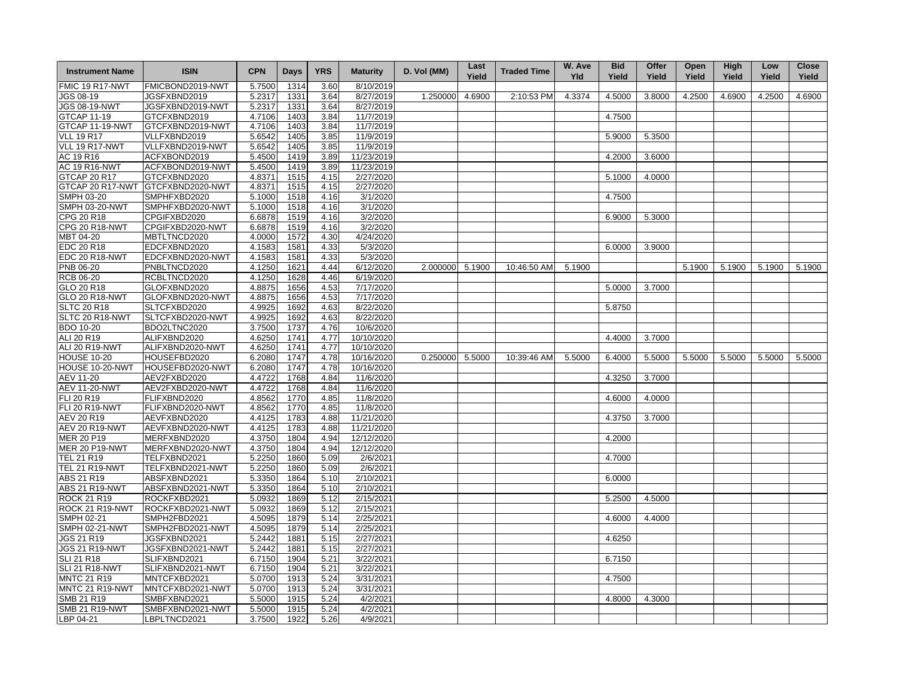| <b>Instrument Name</b> | <b>ISIN</b>      | <b>CPN</b> | <b>Days</b> | <b>YRS</b> | <b>Maturity</b> | D. Vol (MM) | Last<br>Yield | <b>Traded Time</b> | W. Ave<br><b>Yld</b> | <b>Bid</b><br>Yield | Offer<br>Yield | Open<br>Yield | High<br>Yield | Low<br>Yield | <b>Close</b><br>Yield |
|------------------------|------------------|------------|-------------|------------|-----------------|-------------|---------------|--------------------|----------------------|---------------------|----------------|---------------|---------------|--------------|-----------------------|
| FMIC 19 R17-NWT        | FMICBOND2019-NWT | 5.7500     | 1314        | 3.60       | 8/10/2019       |             |               |                    |                      |                     |                |               |               |              |                       |
| JGS 08-19              | JGSFXBND2019     | 5.2317     | 1331        | 3.64       | 8/27/2019       | 1.250000    | 4.6900        | 2:10:53 PM         | 4.3374               | 4.5000              | 3.8000         | 4.2500        | 4.6900        | 4.2500       | 4.6900                |
| <b>JGS 08-19-NWT</b>   | JGSFXBND2019-NWT | 5.2317     | 1331        | 3.64       | 8/27/2019       |             |               |                    |                      |                     |                |               |               |              |                       |
| <b>GTCAP 11-19</b>     | GTCFXBND2019     | 4.7106     | 1403        | 3.84       | 11/7/2019       |             |               |                    |                      | 4.7500              |                |               |               |              |                       |
| GTCAP 11-19-NWT        | GTCFXBND2019-NWT | 4.7106     | 1403        | 3.84       | 11/7/2019       |             |               |                    |                      |                     |                |               |               |              |                       |
| <b>VLL 19 R17</b>      | VLLFXBND2019     | 5.6542     | 1405        | 3.85       | 11/9/2019       |             |               |                    |                      | 5.9000              | 5.3500         |               |               |              |                       |
| VLL 19 R17-NWT         | VLLFXBND2019-NWT | 5.6542     | 1405        | 3.85       | 11/9/2019       |             |               |                    |                      |                     |                |               |               |              |                       |
| AC 19 R16              | ACFXBOND2019     | 5.4500     | 1419        | 3.89       | 11/23/2019      |             |               |                    |                      | 4.2000              | 3.6000         |               |               |              |                       |
| <b>AC 19 R16-NWT</b>   | ACFXBOND2019-NWT | 5.4500     | 1419        | 3.89       | 11/23/2019      |             |               |                    |                      |                     |                |               |               |              |                       |
| <b>GTCAP 20 R17</b>    | GTCFXBND2020     | 4.8371     | 1515        | 4.15       | 2/27/2020       |             |               |                    |                      | 5.1000              | 4.0000         |               |               |              |                       |
| GTCAP 20 R17-NWT       | GTCFXBND2020-NWT | 4.8371     | 1515        | 4.15       | 2/27/2020       |             |               |                    |                      |                     |                |               |               |              |                       |
| SMPH 03-20             | SMPHFXBD2020     | 5.1000     | 1518        | 4.16       | 3/1/2020        |             |               |                    |                      | 4.7500              |                |               |               |              |                       |
| <b>SMPH 03-20-NWT</b>  | SMPHFXBD2020-NWT | 5.1000     | 1518        | 4.16       | 3/1/2020        |             |               |                    |                      |                     |                |               |               |              |                       |
| CPG 20 R18             | CPGIFXBD2020     | 6.6878     | 1519        | 4.16       | 3/2/2020        |             |               |                    |                      | 6.9000              | 5.3000         |               |               |              |                       |
| <b>CPG 20 R18-NWT</b>  | CPGIFXBD2020-NWT | 6.6878     | 1519        | 4.16       | 3/2/2020        |             |               |                    |                      |                     |                |               |               |              |                       |
| MBT 04-20              | MBTLTNCD2020     | 4.0000     | 1572        | 4.30       | 4/24/2020       |             |               |                    |                      |                     |                |               |               |              |                       |
| EDC 20 R18             | EDCFXBND2020     | 4.1583     | 1581        | 4.33       | 5/3/2020        |             |               |                    |                      | 6.0000              | 3.9000         |               |               |              |                       |
| EDC 20 R18-NWT         | EDCFXBND2020-NWT | 4.1583     | 1581        | 4.33       | 5/3/2020        |             |               |                    |                      |                     |                |               |               |              |                       |
| PNB 06-20              | PNBLTNCD2020     | 4.1250     | 1621        | 4.44       | 6/12/2020       | 2.000000    | 5.1900        | 10:46:50 AM        | 5.1900               |                     |                | 5.1900        | 5.1900        | 5.1900       | 5.1900                |
| <b>RCB 06-20</b>       | RCBLTNCD2020     | 4.1250     | 1628        | 4.46       | 6/19/2020       |             |               |                    |                      |                     |                |               |               |              |                       |
| GLO 20 R18             | GLOFXBND2020     | 4.8875     | 1656        | 4.53       | 7/17/2020       |             |               |                    |                      | 5.0000              | 3.7000         |               |               |              |                       |
| <b>GLO 20 R18-NWT</b>  | GLOFXBND2020-NWT | 4.8875     | 1656        | 4.53       | 7/17/2020       |             |               |                    |                      |                     |                |               |               |              |                       |
| <b>SLTC 20 R18</b>     | SLTCFXBD2020     | 4.9925     | 1692        | 4.63       | 8/22/2020       |             |               |                    |                      | 5.8750              |                |               |               |              |                       |
| SLTC 20 R18-NWT        | SLTCFXBD2020-NWT | 4.9925     | 1692        | 4.63       | 8/22/2020       |             |               |                    |                      |                     |                |               |               |              |                       |
| <b>BDO 10-20</b>       | BDO2LTNC2020     | 3.7500     | 1737        | 4.76       | 10/6/2020       |             |               |                    |                      |                     |                |               |               |              |                       |
| ALI 20 R19             | ALIFXBND2020     | 4.6250     | 1741        | 4.77       | 10/10/2020      |             |               |                    |                      | 4.4000              | 3.7000         |               |               |              |                       |
| <b>ALI 20 R19-NWT</b>  | ALIFXBND2020-NWT | 4.6250     | 1741        | 4.77       | 10/10/2020      |             |               |                    |                      |                     |                |               |               |              |                       |
| <b>HOUSE 10-20</b>     | HOUSEFBD2020     | 6.2080     | 1747        | 4.78       | 10/16/2020      | 0.250000    | 5.5000        | 10:39:46 AM        | 5.5000               | 6.4000              | 5.5000         | 5.5000        | 5.5000        | 5.5000       | 5.5000                |
| HOUSE 10-20-NWT        | HOUSEFBD2020-NWT | 6.2080     | 1747        | 4.78       | 10/16/2020      |             |               |                    |                      |                     |                |               |               |              |                       |
| AEV 11-20              | AEV2FXBD2020     | 4.4722     | 1768        | 4.84       | 11/6/2020       |             |               |                    |                      | 4.3250              | 3.7000         |               |               |              |                       |
| <b>AEV 11-20-NWT</b>   | AEV2FXBD2020-NWT | 4.4722     | 1768        | 4.84       | 11/6/2020       |             |               |                    |                      |                     |                |               |               |              |                       |
| FLI 20 R19             | FLIFXBND2020     | 4.8562     | 1770        | 4.85       | 11/8/2020       |             |               |                    |                      | 4.6000              | 4.0000         |               |               |              |                       |
| <b>FLI 20 R19-NWT</b>  | FLIFXBND2020-NWT | 4.8562     | 1770        | 4.85       | 11/8/2020       |             |               |                    |                      |                     |                |               |               |              |                       |
| <b>AEV 20 R19</b>      | AEVFXBND2020     | 4.4125     | 1783        | 4.88       | 11/21/2020      |             |               |                    |                      | 4.3750              | 3.7000         |               |               |              |                       |
| <b>AEV 20 R19-NWT</b>  | AEVFXBND2020-NWT | 4.4125     | 1783        | 4.88       | 11/21/2020      |             |               |                    |                      |                     |                |               |               |              |                       |
| <b>MER 20 P19</b>      | MERFXBND2020     | 4.3750     | 1804        | 4.94       | 12/12/2020      |             |               |                    |                      | 4.2000              |                |               |               |              |                       |
| <b>MER 20 P19-NWT</b>  | MERFXBND2020-NWT | 4.3750     | 1804        | 4.94       | 12/12/2020      |             |               |                    |                      |                     |                |               |               |              |                       |
| <b>TEL 21 R19</b>      | TELFXBND2021     | 5.2250     | 1860        | 5.09       | 2/6/2021        |             |               |                    |                      | 4.7000              |                |               |               |              |                       |
| <b>TEL 21 R19-NWT</b>  | TELFXBND2021-NWT | 5.2250     | 1860        | 5.09       | 2/6/2021        |             |               |                    |                      |                     |                |               |               |              |                       |
| ABS 21 R19             | ABSFXBND2021     | 5.3350     | 1864        | 5.10       | 2/10/2021       |             |               |                    |                      | 6.0000              |                |               |               |              |                       |
| <b>ABS 21 R19-NWT</b>  | ABSFXBND2021-NWT | 5.3350     | 1864        | 5.10       | 2/10/2021       |             |               |                    |                      |                     |                |               |               |              |                       |
| <b>ROCK 21 R19</b>     | ROCKFXBD2021     | 5.0932     | 1869        | 5.12       | 2/15/2021       |             |               |                    |                      | 5.2500              | 4.5000         |               |               |              |                       |
| ROCK 21 R19-NWT        | ROCKFXBD2021-NWT | 5.0932     | 1869        | 5.12       | 2/15/2021       |             |               |                    |                      |                     |                |               |               |              |                       |
| SMPH 02-21             | SMPH2FBD2021     | 4.5095     | 1879        | 5.14       | 2/25/2021       |             |               |                    |                      | 4.6000              | 4.4000         |               |               |              |                       |
| <b>SMPH 02-21-NWT</b>  | SMPH2FBD2021-NWT | 4.5095     | 1879        | 5.14       | 2/25/2021       |             |               |                    |                      |                     |                |               |               |              |                       |
| JGS 21 R19             | JGSFXBND2021     | 5.2442     | 1881        | 5.15       | 2/27/2021       |             |               |                    |                      | 4.6250              |                |               |               |              |                       |
| <b>JGS 21 R19-NWT</b>  | JGSFXBND2021-NWT | 5.2442     | 1881        | 5.15       | 2/27/2021       |             |               |                    |                      |                     |                |               |               |              |                       |
| <b>SLI 21 R18</b>      | SLIFXBND2021     | 6.7150     | 1904        | 5.21       | 3/22/2021       |             |               |                    |                      | 6.7150              |                |               |               |              |                       |
| <b>SLI 21 R18-NWT</b>  | SLIFXBND2021-NWT | 6.7150     | 1904        | 5.21       | 3/22/2021       |             |               |                    |                      |                     |                |               |               |              |                       |
| <b>MNTC 21 R19</b>     | MNTCFXBD2021     | 5.0700     | 1913        | 5.24       | 3/31/2021       |             |               |                    |                      | 4.7500              |                |               |               |              |                       |
| MNTC 21 R19-NWT        | MNTCFXBD2021-NWT | 5.0700     | 1913        | 5.24       | 3/31/2021       |             |               |                    |                      |                     |                |               |               |              |                       |
| <b>SMB 21 R19</b>      | SMBFXBND2021     | 5.5000     | 1915        | 5.24       | 4/2/2021        |             |               |                    |                      | 4.8000              | 4.3000         |               |               |              |                       |
| <b>SMB 21 R19-NWT</b>  | SMBFXBND2021-NWT | 5.5000     | 1915        | 5.24       | 4/2/2021        |             |               |                    |                      |                     |                |               |               |              |                       |
| LBP 04-21              | LBPLTNCD2021     | 3.7500     | 1922        | 5.26       | 4/9/2021        |             |               |                    |                      |                     |                |               |               |              |                       |
|                        |                  |            |             |            |                 |             |               |                    |                      |                     |                |               |               |              |                       |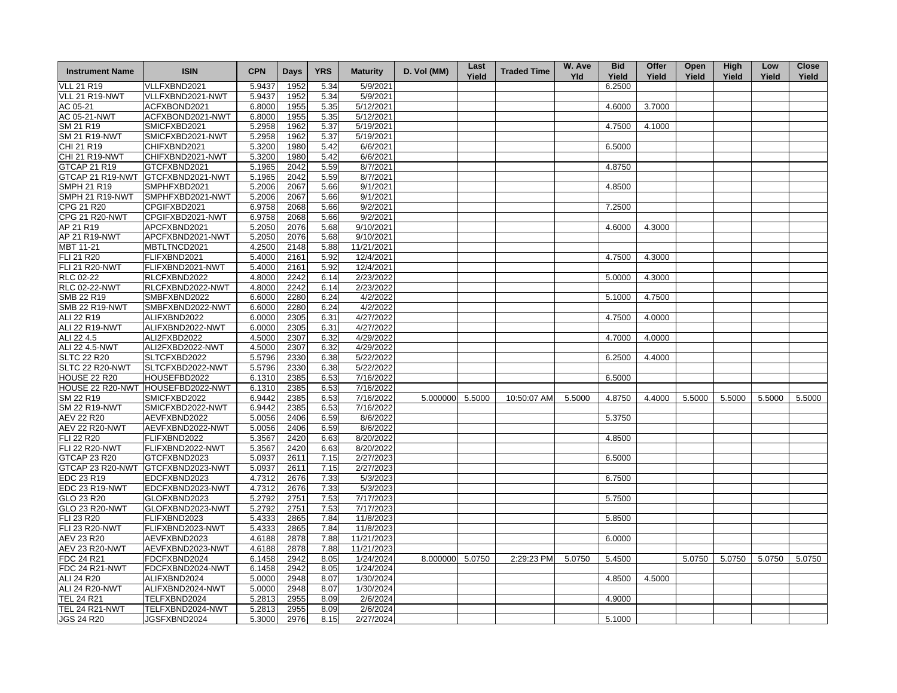| <b>Instrument Name</b>              | <b>ISIN</b>      | <b>CPN</b> | Days         | <b>YRS</b> | <b>Maturity</b> | D. Vol (MM)     | Last<br>Yield | <b>Traded Time</b> | W. Ave<br><b>Yld</b> | <b>Bid</b><br>Yield | Offer<br>Yield | Open<br>Yield | High<br>Yield | Low<br>Yield | <b>Close</b><br>Yield |
|-------------------------------------|------------------|------------|--------------|------------|-----------------|-----------------|---------------|--------------------|----------------------|---------------------|----------------|---------------|---------------|--------------|-----------------------|
| <b>VLL 21 R19</b>                   | VLLFXBND2021     | 5.9437     | 1952         | 5.34       | 5/9/2021        |                 |               |                    |                      | 6.2500              |                |               |               |              |                       |
| VLL 21 R19-NWT                      | VLLFXBND2021-NWT | 5.9437     | 1952         | 5.34       | 5/9/2021        |                 |               |                    |                      |                     |                |               |               |              |                       |
| AC 05-21                            | ACFXBOND2021     | 6.8000     | 1955         | 5.35       | 5/12/2021       |                 |               |                    |                      | 4.6000              | 3.7000         |               |               |              |                       |
| AC 05-21-NWT                        | ACFXBOND2021-NWT | 6.8000     | 1955         | 5.35       | 5/12/2021       |                 |               |                    |                      |                     |                |               |               |              |                       |
| SM 21 R19                           | SMICFXBD2021     | 5.2958     | 1962         | 5.37       | 5/19/2021       |                 |               |                    |                      | 4.7500              | 4.1000         |               |               |              |                       |
| <b>SM 21 R19-NWT</b>                | SMICFXBD2021-NWT | 5.2958     | 1962         | 5.37       | 5/19/2021       |                 |               |                    |                      |                     |                |               |               |              |                       |
| CHI 21 R19                          | CHIFXBND2021     | 5.3200     | 1980         | 5.42       | 6/6/2021        |                 |               |                    |                      | 6.5000              |                |               |               |              |                       |
| <b>CHI 21 R19-NWT</b>               | CHIFXBND2021-NWT | 5.3200     | 1980         | 5.42       | 6/6/2021        |                 |               |                    |                      |                     |                |               |               |              |                       |
| GTCAP 21 R19                        | GTCFXBND2021     | 5.1965     | 2042         | 5.59       | 8/7/2021        |                 |               |                    |                      | 4.8750              |                |               |               |              |                       |
| GTCAP 21 R19-NWT                    | GTCFXBND2021-NWT | 5.1965     | 2042         | 5.59       | 8/7/2021        |                 |               |                    |                      |                     |                |               |               |              |                       |
| <b>SMPH 21 R19</b>                  | SMPHFXBD2021     | 5.2006     | 2067         | 5.66       | 9/1/2021        |                 |               |                    |                      | 4.8500              |                |               |               |              |                       |
| SMPH 21 R19-NWT                     | SMPHFXBD2021-NWT | 5.2006     | 2067         | 5.66       | 9/1/2021        |                 |               |                    |                      |                     |                |               |               |              |                       |
| CPG 21 R20                          | CPGIFXBD2021     | 6.9758     | 2068         | 5.66       | 9/2/2021        |                 |               |                    |                      | 7.2500              |                |               |               |              |                       |
| <b>CPG 21 R20-NWT</b>               | CPGIFXBD2021-NWT | 6.9758     | 2068         | 5.66       | 9/2/2021        |                 |               |                    |                      |                     |                |               |               |              |                       |
| AP 21 R19                           | APCFXBND2021     | 5.2050     | 2076         | 5.68       | 9/10/2021       |                 |               |                    |                      | 4.6000              | 4.3000         |               |               |              |                       |
| AP 21 R19-NWT                       | APCFXBND2021-NWT | 5.2050     | 2076         | 5.68       | 9/10/2021       |                 |               |                    |                      |                     |                |               |               |              |                       |
| MBT 11-21                           | MBTLTNCD2021     | 4.2500     | 2148         | 5.88       | 11/21/2021      |                 |               |                    |                      |                     |                |               |               |              |                       |
| FLI 21 R20                          | FLIFXBND2021     | 5.4000     | 2161         | 5.92       | 12/4/2021       |                 |               |                    |                      | 4.7500              | 4.3000         |               |               |              |                       |
| <b>FLI 21 R20-NWT</b>               | FLIFXBND2021-NWT | 5.4000     | 2161         | 5.92       | 12/4/2021       |                 |               |                    |                      |                     |                |               |               |              |                       |
| <b>RLC 02-22</b>                    | RLCFXBND2022     | 4.8000     | 2242         | 6.14       | 2/23/2022       |                 |               |                    |                      | 5.0000              | 4.3000         |               |               |              |                       |
| <b>RLC 02-22-NWT</b>                | RLCFXBND2022-NWT | 4.8000     | 2242         | 6.14       | 2/23/2022       |                 |               |                    |                      |                     |                |               |               |              |                       |
| SMB 22 R19                          | SMBFXBND2022     | 6.6000     | 2280         | 6.24       | 4/2/2022        |                 |               |                    |                      | 5.1000              | 4.7500         |               |               |              |                       |
| SMB 22 R19-NWT                      | SMBFXBND2022-NWT | 6.6000     | 2280         | 6.24       | 4/2/2022        |                 |               |                    |                      |                     |                |               |               |              |                       |
| ALI 22 R19                          | ALIFXBND2022     | 6.0000     | 2305         | 6.31       | 4/27/2022       |                 |               |                    |                      | 4.7500              | 4.0000         |               |               |              |                       |
| ALI 22 R19-NWT                      | ALIFXBND2022-NWT | 6.0000     |              |            | 4/27/2022       |                 |               |                    |                      |                     |                |               |               |              |                       |
|                                     |                  |            | 2305         | 6.31       | 4/29/2022       |                 |               |                    |                      |                     |                |               |               |              |                       |
| ALI 22 4.5<br><b>ALI 22 4.5-NWT</b> | ALI2FXBD2022     | 4.5000     | 2307<br>2307 | 6.32       | 4/29/2022       |                 |               |                    |                      | 4.7000              | 4.0000         |               |               |              |                       |
|                                     | ALI2FXBD2022-NWT | 4.5000     |              | 6.32       |                 |                 |               |                    |                      |                     |                |               |               |              |                       |
| <b>SLTC 22 R20</b>                  | SLTCFXBD2022     | 5.5796     | 2330         | 6.38       | 5/22/2022       |                 |               |                    |                      | 6.2500              | 4.4000         |               |               |              |                       |
| SLTC 22 R20-NWT                     | SLTCFXBD2022-NWT | 5.5796     | 2330         | 6.38       | 5/22/2022       |                 |               |                    |                      |                     |                |               |               |              |                       |
| <b>HOUSE 22 R20</b>                 | HOUSEFBD2022     | 6.1310     | 2385         | 6.53       | 7/16/2022       |                 |               |                    |                      | 6.5000              |                |               |               |              |                       |
| HOUSE 22 R20-NWT HOUSEFBD2022-NWT   |                  | 6.1310     | 2385         | 6.53       | 7/16/2022       |                 |               |                    |                      |                     |                |               |               |              |                       |
| SM 22 R19                           | SMICFXBD2022     | 6.9442     | 2385         | 6.53       | 7/16/2022       | 5.000000 5.5000 |               | 10:50:07 AM        | 5.5000               | 4.8750              | 4.4000         | 5.5000        | 5.5000        | 5.5000       | 5.5000                |
| <b>SM 22 R19-NWT</b>                | SMICFXBD2022-NWT | 6.9442     | 2385         | 6.53       | 7/16/2022       |                 |               |                    |                      |                     |                |               |               |              |                       |
| AEV 22 R20                          | AEVFXBND2022     | 5.0056     | 2406         | 6.59       | 8/6/2022        |                 |               |                    |                      | 5.3750              |                |               |               |              |                       |
| <b>AEV 22 R20-NWT</b>               | AEVFXBND2022-NWT | 5.0056     | 2406         | 6.59       | 8/6/2022        |                 |               |                    |                      |                     |                |               |               |              |                       |
| FLI 22 R20                          | FLIFXBND2022     | 5.3567     | 2420         | 6.63       | 8/20/2022       |                 |               |                    |                      | 4.8500              |                |               |               |              |                       |
| <b>FLI 22 R20-NWT</b>               | FLIFXBND2022-NWT | 5.3567     | 2420         | 6.63       | 8/20/2022       |                 |               |                    |                      |                     |                |               |               |              |                       |
| <b>GTCAP 23 R20</b>                 | GTCFXBND2023     | 5.0937     | 2611         | 7.15       | 2/27/2023       |                 |               |                    |                      | 6.5000              |                |               |               |              |                       |
| GTCAP 23 R20-NWT                    | GTCFXBND2023-NWT | 5.0937     | 2611         | 7.15       | 2/27/2023       |                 |               |                    |                      |                     |                |               |               |              |                       |
| EDC 23 R19                          | EDCFXBND2023     | 4.7312     | 2676         | 7.33       | 5/3/2023        |                 |               |                    |                      | 6.7500              |                |               |               |              |                       |
| <b>EDC 23 R19-NWT</b>               | EDCFXBND2023-NWT | 4.7312     | 2676         | 7.33       | 5/3/2023        |                 |               |                    |                      |                     |                |               |               |              |                       |
| GLO 23 R20                          | GLOFXBND2023     | 5.2792     | 2751         | 7.53       | 7/17/2023       |                 |               |                    |                      | 5.7500              |                |               |               |              |                       |
| <b>GLO 23 R20-NWT</b>               | GLOFXBND2023-NWT | 5.2792     | 2751         | 7.53       | 7/17/2023       |                 |               |                    |                      |                     |                |               |               |              |                       |
| FLI 23 R20                          | FLIFXBND2023     | 5.4333     | 2865         | 7.84       | 11/8/2023       |                 |               |                    |                      | 5.8500              |                |               |               |              |                       |
| <b>FLI 23 R20-NWT</b>               | FLIFXBND2023-NWT | 5.4333     | 2865         | 7.84       | 11/8/2023       |                 |               |                    |                      |                     |                |               |               |              |                       |
| AEV 23 R20                          | AEVFXBND2023     | 4.6188     | 2878         | 7.88       | 11/21/2023      |                 |               |                    |                      | 6.0000              |                |               |               |              |                       |
| <b>AEV 23 R20-NWT</b>               | AEVFXBND2023-NWT | 4.6188     | 2878         | 7.88       | 11/21/2023      |                 |               |                    |                      |                     |                |               |               |              |                       |
| FDC 24 R21                          | FDCFXBND2024     | 6.1458     | 2942         | 8.05       | 1/24/2024       | 8.000000        | 5.0750        | 2:29:23 PM         | 5.0750               | 5.4500              |                | 5.0750        | 5.0750        | 5.0750       | 5.0750                |
| FDC 24 R21-NWT                      | FDCFXBND2024-NWT | 6.1458     | 2942         | 8.05       | 1/24/2024       |                 |               |                    |                      |                     |                |               |               |              |                       |
| ALI 24 R20                          | ALIFXBND2024     | 5.0000     | 2948         | 8.07       | 1/30/2024       |                 |               |                    |                      | 4.8500              | 4.5000         |               |               |              |                       |
| <b>ALI 24 R20-NWT</b>               | ALIFXBND2024-NWT | 5.0000     | 2948         | 8.07       | 1/30/2024       |                 |               |                    |                      |                     |                |               |               |              |                       |
| <b>TEL 24 R21</b>                   | TELFXBND2024     | 5.2813     | 2955         | 8.09       | 2/6/2024        |                 |               |                    |                      | 4.9000              |                |               |               |              |                       |
| <b>TEL 24 R21-NWT</b>               | TELFXBND2024-NWT | 5.2813     | 2955         | 8.09       | 2/6/2024        |                 |               |                    |                      |                     |                |               |               |              |                       |
| <b>JGS 24 R20</b>                   | JGSFXBND2024     | 5.3000     | 2976         | 8.15       | 2/27/2024       |                 |               |                    |                      | 5.1000              |                |               |               |              |                       |